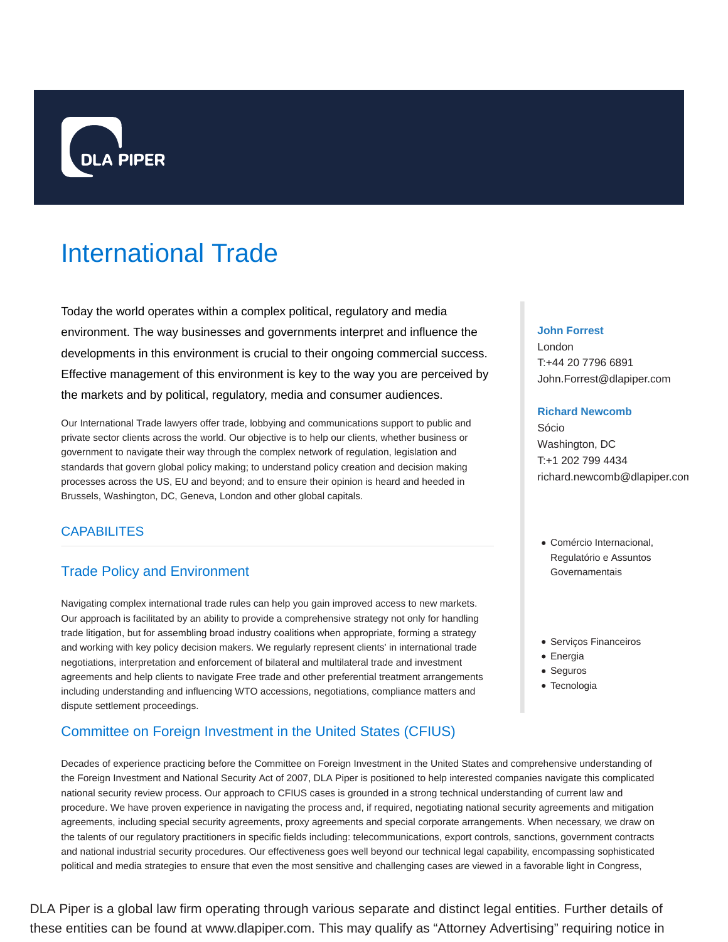

# International Trade

Today the world operates within a complex political, regulatory and media environment. The way businesses and governments interpret and influence the developments in this environment is crucial to their ongoing commercial success. Effective management of this environment is key to the way you are perceived by the markets and by political, regulatory, media and consumer audiences.

Our International Trade lawyers offer trade, lobbying and communications support to public and private sector clients across the world. Our objective is to help our clients, whether business or government to navigate their way through the complex network of regulation, legislation and standards that govern global policy making; to understand policy creation and decision making processes across the US, EU and beyond; and to ensure their opinion is heard and heeded in Brussels, Washington, DC, Geneva, London and other global capitals.

# **CAPABILITES**

# Trade Policy and Environment

Navigating complex international trade rules can help you gain improved access to new markets. Our approach is facilitated by an ability to provide a comprehensive strategy not only for handling trade litigation, but for assembling broad industry coalitions when appropriate, forming a strategy and working with key policy decision makers. We regularly represent clients' in international trade negotiations, interpretation and enforcement of bilateral and multilateral trade and investment agreements and help clients to navigate Free trade and other preferential treatment arrangements including understanding and influencing WTO accessions, negotiations, compliance matters and dispute settlement proceedings.

# Committee on Foreign Investment in the United States (CFIUS)

Decades of experience practicing before the Committee on Foreign Investment in the United States and comprehensive understanding of the Foreign Investment and National Security Act of 2007, DLA Piper is positioned to help interested companies navigate this complicated national security review process. Our approach to CFIUS cases is grounded in a strong technical understanding of current law and procedure. We have proven experience in navigating the process and, if required, negotiating national security agreements and mitigation agreements, including special security agreements, proxy agreements and special corporate arrangements. When necessary, we draw on the talents of our regulatory practitioners in specific fields including: telecommunications, export controls, sanctions, government contracts and national industrial security procedures. Our effectiveness goes well beyond our technical legal capability, encompassing sophisticated political and media strategies to ensure that even the most sensitive and challenging cases are viewed in a favorable light in Congress,

DLA Piper is a global law firm operating through various separate and distinct legal entities. Further details of these entities can be found at www.dlapiper.com. This may qualify as "Attorney Advertising" requiring notice in

#### **John Forrest**

London T:+44 20 7796 6891 John.Forrest@dlapiper.com

## **Richard Newcomb**

Sócio Washington, DC T:+1 202 799 4434 richard.newcomb@dlapiper.com

- Comércio Internacional, Regulatório e Assuntos **Governamentais**
- Serviços Financeiros
- Energia
- Seguros
- Tecnologia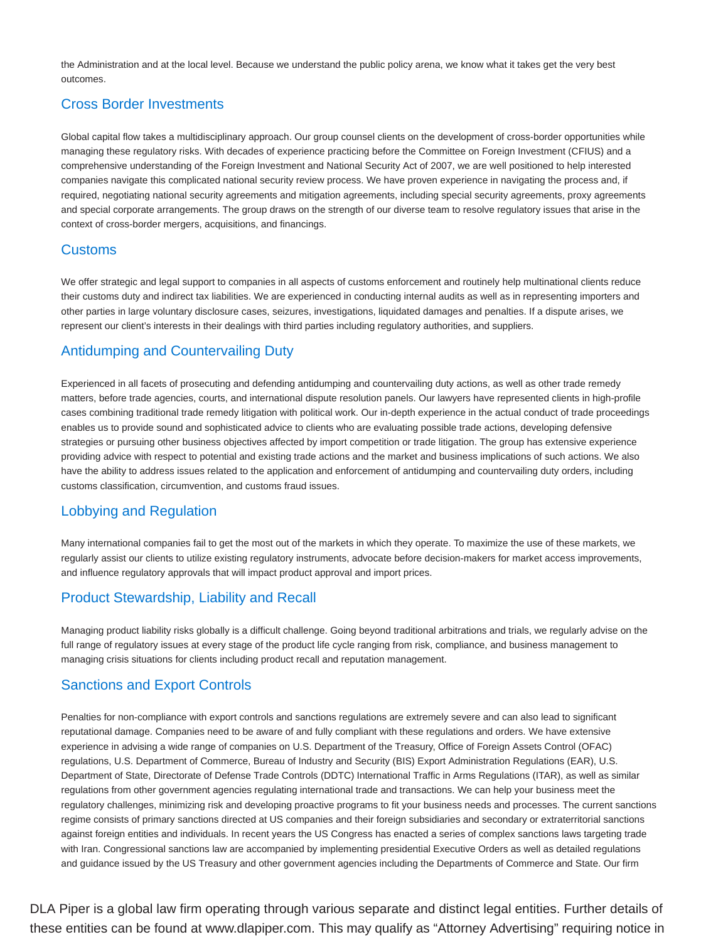the Administration and at the local level. Because we understand the public policy arena, we know what it takes get the very best outcomes.

# Cross Border Investments

Global capital flow takes a multidisciplinary approach. Our group counsel clients on the development of cross-border opportunities while managing these regulatory risks. With decades of experience practicing before the Committee on Foreign Investment (CFIUS) and a comprehensive understanding of the Foreign Investment and National Security Act of 2007, we are well positioned to help interested companies navigate this complicated national security review process. We have proven experience in navigating the process and, if required, negotiating national security agreements and mitigation agreements, including special security agreements, proxy agreements and special corporate arrangements. The group draws on the strength of our diverse team to resolve regulatory issues that arise in the context of cross-border mergers, acquisitions, and financings.

# Customs

We offer strategic and legal support to companies in all aspects of customs enforcement and routinely help multinational clients reduce their customs duty and indirect tax liabilities. We are experienced in conducting internal audits as well as in representing importers and other parties in large voluntary disclosure cases, seizures, investigations, liquidated damages and penalties. If a dispute arises, we represent our client's interests in their dealings with third parties including regulatory authorities, and suppliers.

# Antidumping and Countervailing Duty

Experienced in all facets of prosecuting and defending antidumping and countervailing duty actions, as well as other trade remedy matters, before trade agencies, courts, and international dispute resolution panels. Our lawyers have represented clients in high-profile cases combining traditional trade remedy litigation with political work. Our in-depth experience in the actual conduct of trade proceedings enables us to provide sound and sophisticated advice to clients who are evaluating possible trade actions, developing defensive strategies or pursuing other business objectives affected by import competition or trade litigation. The group has extensive experience providing advice with respect to potential and existing trade actions and the market and business implications of such actions. We also have the ability to address issues related to the application and enforcement of antidumping and countervailing duty orders, including customs classification, circumvention, and customs fraud issues.

# Lobbying and Regulation

Many international companies fail to get the most out of the markets in which they operate. To maximize the use of these markets, we regularly assist our clients to utilize existing regulatory instruments, advocate before decision-makers for market access improvements, and influence regulatory approvals that will impact product approval and import prices.

# Product Stewardship, Liability and Recall

Managing product liability risks globally is a difficult challenge. Going beyond traditional arbitrations and trials, we regularly advise on the full range of regulatory issues at every stage of the product life cycle ranging from risk, compliance, and business management to managing crisis situations for clients including product recall and reputation management.

# Sanctions and Export Controls

Penalties for non-compliance with export controls and sanctions regulations are extremely severe and can also lead to significant reputational damage. Companies need to be aware of and fully compliant with these regulations and orders. We have extensive experience in advising a wide range of companies on U.S. Department of the Treasury, Office of Foreign Assets Control (OFAC) regulations, U.S. Department of Commerce, Bureau of Industry and Security (BIS) Export Administration Regulations (EAR), U.S. Department of State, Directorate of Defense Trade Controls (DDTC) International Traffic in Arms Regulations (ITAR), as well as similar regulations from other government agencies regulating international trade and transactions. We can help your business meet the regulatory challenges, minimizing risk and developing proactive programs to fit your business needs and processes. The current sanctions regime consists of primary sanctions directed at US companies and their foreign subsidiaries and secondary or extraterritorial sanctions against foreign entities and individuals. In recent years the US Congress has enacted a series of complex sanctions laws targeting trade with Iran. Congressional sanctions law are accompanied by implementing presidential Executive Orders as well as detailed regulations and guidance issued by the US Treasury and other government agencies including the Departments of Commerce and State. Our firm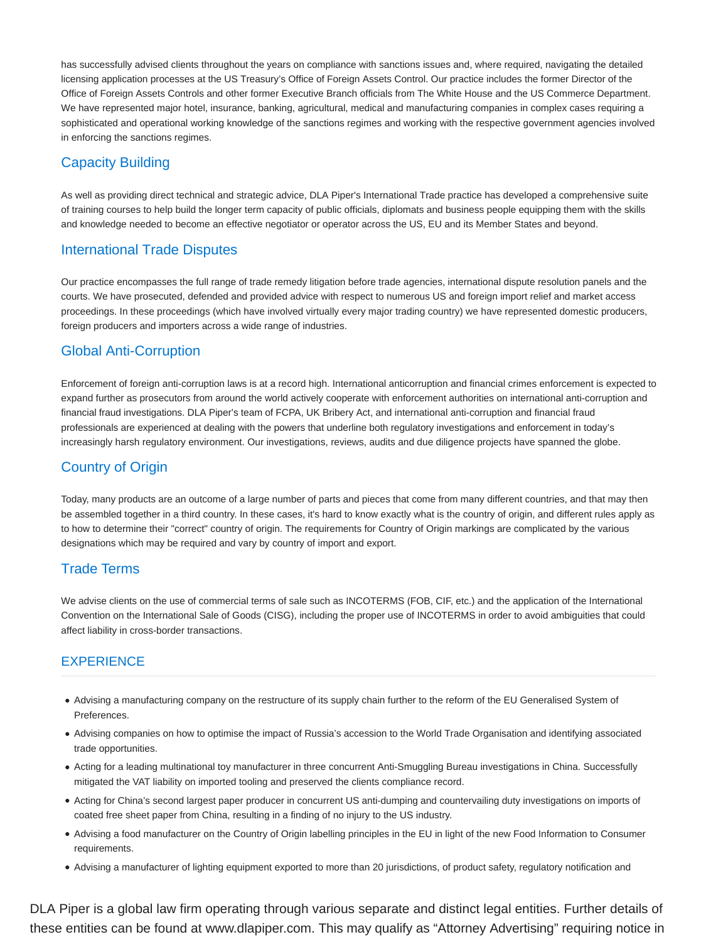has successfully advised clients throughout the years on compliance with sanctions issues and, where required, navigating the detailed licensing application processes at the US Treasury's Office of Foreign Assets Control. Our practice includes the former Director of the Office of Foreign Assets Controls and other former Executive Branch officials from The White House and the US Commerce Department. We have represented major hotel, insurance, banking, agricultural, medical and manufacturing companies in complex cases requiring a sophisticated and operational working knowledge of the sanctions regimes and working with the respective government agencies involved in enforcing the sanctions regimes.

# Capacity Building

As well as providing direct technical and strategic advice, DLA Piper's International Trade practice has developed a comprehensive suite of training courses to help build the longer term capacity of public officials, diplomats and business people equipping them with the skills and knowledge needed to become an effective negotiator or operator across the US, EU and its Member States and beyond.

# International Trade Disputes

Our practice encompasses the full range of trade remedy litigation before trade agencies, international dispute resolution panels and the courts. We have prosecuted, defended and provided advice with respect to numerous US and foreign import relief and market access proceedings. In these proceedings (which have involved virtually every major trading country) we have represented domestic producers, foreign producers and importers across a wide range of industries.

# Global Anti-Corruption

Enforcement of foreign anti-corruption laws is at a record high. International anticorruption and financial crimes enforcement is expected to expand further as prosecutors from around the world actively cooperate with enforcement authorities on international anti-corruption and financial fraud investigations. DLA Piper's team of FCPA, UK Bribery Act, and international anti-corruption and financial fraud professionals are experienced at dealing with the powers that underline both regulatory investigations and enforcement in today's increasingly harsh regulatory environment. Our investigations, reviews, audits and due diligence projects have spanned the globe.

# Country of Origin

Today, many products are an outcome of a large number of parts and pieces that come from many different countries, and that may then be assembled together in a third country. In these cases, it's hard to know exactly what is the country of origin, and different rules apply as to how to determine their "correct" country of origin. The requirements for Country of Origin markings are complicated by the various designations which may be required and vary by country of import and export.

# Trade Terms

We advise clients on the use of commercial terms of sale such as INCOTERMS (FOB, CIF, etc.) and the application of the International Convention on the International Sale of Goods (CISG), including the proper use of INCOTERMS in order to avoid ambiguities that could affect liability in cross-border transactions.

# **EXPERIENCE**

- Advising a manufacturing company on the restructure of its supply chain further to the reform of the EU Generalised System of Preferences.
- Advising companies on how to optimise the impact of Russia's accession to the World Trade Organisation and identifying associated trade opportunities.
- Acting for a leading multinational toy manufacturer in three concurrent Anti-Smuggling Bureau investigations in China. Successfully mitigated the VAT liability on imported tooling and preserved the clients compliance record.
- Acting for China's second largest paper producer in concurrent US anti-dumping and countervailing duty investigations on imports of coated free sheet paper from China, resulting in a finding of no injury to the US industry.
- Advising a food manufacturer on the Country of Origin labelling principles in the EU in light of the new Food Information to Consumer requirements.
- Advising a manufacturer of lighting equipment exported to more than 20 jurisdictions, of product safety, regulatory notification and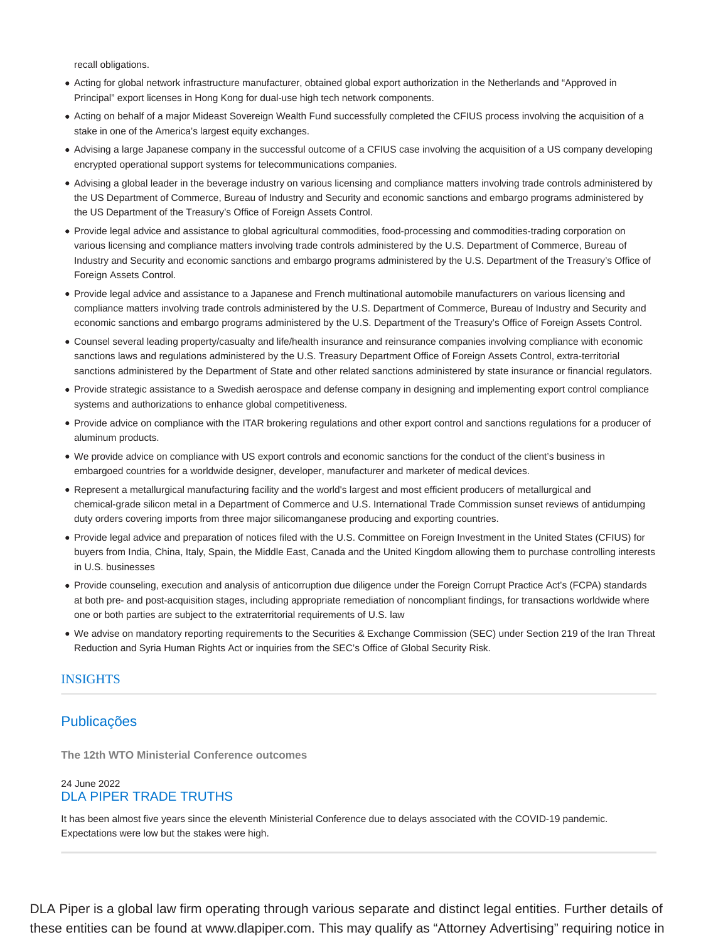recall obligations.

- Acting for global network infrastructure manufacturer, obtained global export authorization in the Netherlands and "Approved in Principal" export licenses in Hong Kong for dual-use high tech network components.
- Acting on behalf of a major Mideast Sovereign Wealth Fund successfully completed the CFIUS process involving the acquisition of a stake in one of the America's largest equity exchanges.
- Advising a large Japanese company in the successful outcome of a CFIUS case involving the acquisition of a US company developing encrypted operational support systems for telecommunications companies.
- Advising a global leader in the beverage industry on various licensing and compliance matters involving trade controls administered by the US Department of Commerce, Bureau of Industry and Security and economic sanctions and embargo programs administered by the US Department of the Treasury's Office of Foreign Assets Control.
- Provide legal advice and assistance to global agricultural commodities, food-processing and commodities-trading corporation on various licensing and compliance matters involving trade controls administered by the U.S. Department of Commerce, Bureau of Industry and Security and economic sanctions and embargo programs administered by the U.S. Department of the Treasury's Office of Foreign Assets Control.
- Provide legal advice and assistance to a Japanese and French multinational automobile manufacturers on various licensing and compliance matters involving trade controls administered by the U.S. Department of Commerce, Bureau of Industry and Security and economic sanctions and embargo programs administered by the U.S. Department of the Treasury's Office of Foreign Assets Control.
- Counsel several leading property/casualty and life/health insurance and reinsurance companies involving compliance with economic sanctions laws and regulations administered by the U.S. Treasury Department Office of Foreign Assets Control, extra-territorial sanctions administered by the Department of State and other related sanctions administered by state insurance or financial regulators.
- Provide strategic assistance to a Swedish aerospace and defense company in designing and implementing export control compliance systems and authorizations to enhance global competitiveness.
- Provide advice on compliance with the ITAR brokering regulations and other export control and sanctions regulations for a producer of aluminum products.
- We provide advice on compliance with US export controls and economic sanctions for the conduct of the client's business in embargoed countries for a worldwide designer, developer, manufacturer and marketer of medical devices.
- Represent a metallurgical manufacturing facility and the world's largest and most efficient producers of metallurgical and chemical-grade silicon metal in a Department of Commerce and U.S. International Trade Commission sunset reviews of antidumping duty orders covering imports from three major silicomanganese producing and exporting countries.
- Provide legal advice and preparation of notices filed with the U.S. Committee on Foreign Investment in the United States (CFIUS) for buyers from India, China, Italy, Spain, the Middle East, Canada and the United Kingdom allowing them to purchase controlling interests in U.S. businesses
- Provide counseling, execution and analysis of anticorruption due diligence under the Foreign Corrupt Practice Act's (FCPA) standards at both pre- and post-acquisition stages, including appropriate remediation of noncompliant findings, for transactions worldwide where one or both parties are subject to the extraterritorial requirements of U.S. law
- We advise on mandatory reporting requirements to the Securities & Exchange Commission (SEC) under Section 219 of the Iran Threat Reduction and Syria Human Rights Act or inquiries from the SEC's Office of Global Security Risk.

## INSIGHTS

# Publicações

**The 12th WTO Ministerial Conference outcomes**

## 24 June 2022 DLA PIPER TRADE TRUTHS

It has been almost five years since the eleventh Ministerial Conference due to delays associated with the COVID-19 pandemic. Expectations were low but the stakes were high.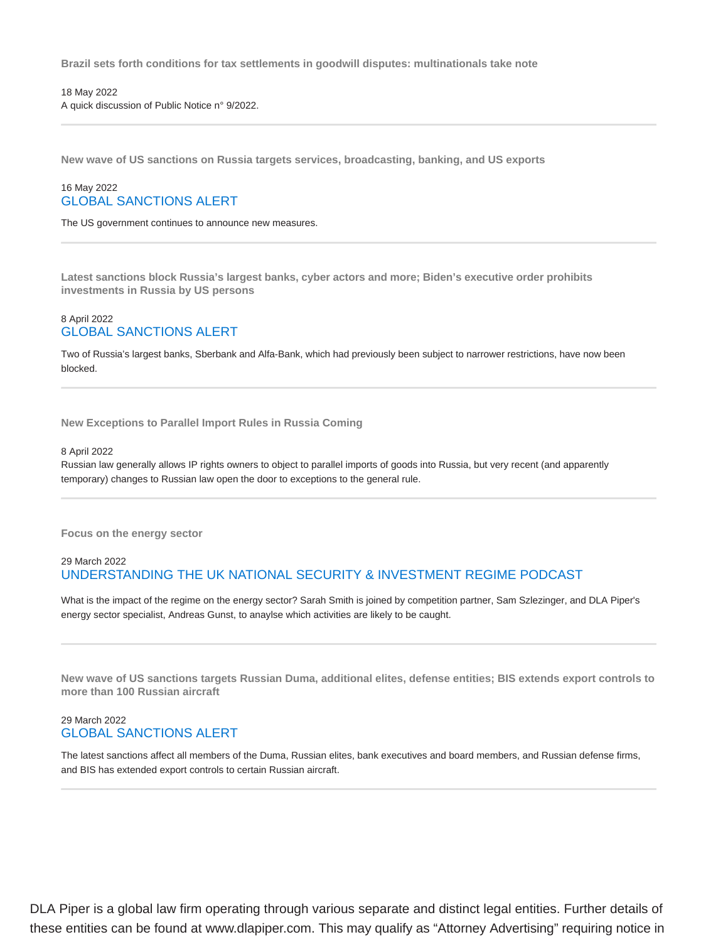**Brazil sets forth conditions for tax settlements in goodwill disputes: multinationals take note**

18 May 2022 A quick discussion of Public Notice n° 9/2022.

**New wave of US sanctions on Russia targets services, broadcasting, banking, and US exports**

#### 16 May 2022 GLOBAL SANCTIONS ALERT

The US government continues to announce new measures.

**Latest sanctions block Russia's largest banks, cyber actors and more; Biden's executive order prohibits investments in Russia by US persons**

#### 8 April 2022 GLOBAL SANCTIONS ALERT

Two of Russia's largest banks, Sberbank and Alfa-Bank, which had previously been subject to narrower restrictions, have now been blocked.

**New Exceptions to Parallel Import Rules in Russia Coming**

#### 8 April 2022

Russian law generally allows IP rights owners to object to parallel imports of goods into Russia, but very recent (and apparently temporary) changes to Russian law open the door to exceptions to the general rule.

**Focus on the energy sector**

#### 29 March 2022 UNDERSTANDING THE UK NATIONAL SECURITY & INVESTMENT REGIME PODCAST

What is the impact of the regime on the energy sector? Sarah Smith is joined by competition partner, Sam Szlezinger, and DLA Piper's energy sector specialist, Andreas Gunst, to anaylse which activities are likely to be caught.

**New wave of US sanctions targets Russian Duma, additional elites, defense entities; BIS extends export controls to more than 100 Russian aircraft**

#### 29 March 2022 GLOBAL SANCTIONS ALERT

The latest sanctions affect all members of the Duma, Russian elites, bank executives and board members, and Russian defense firms, and BIS has extended export controls to certain Russian aircraft.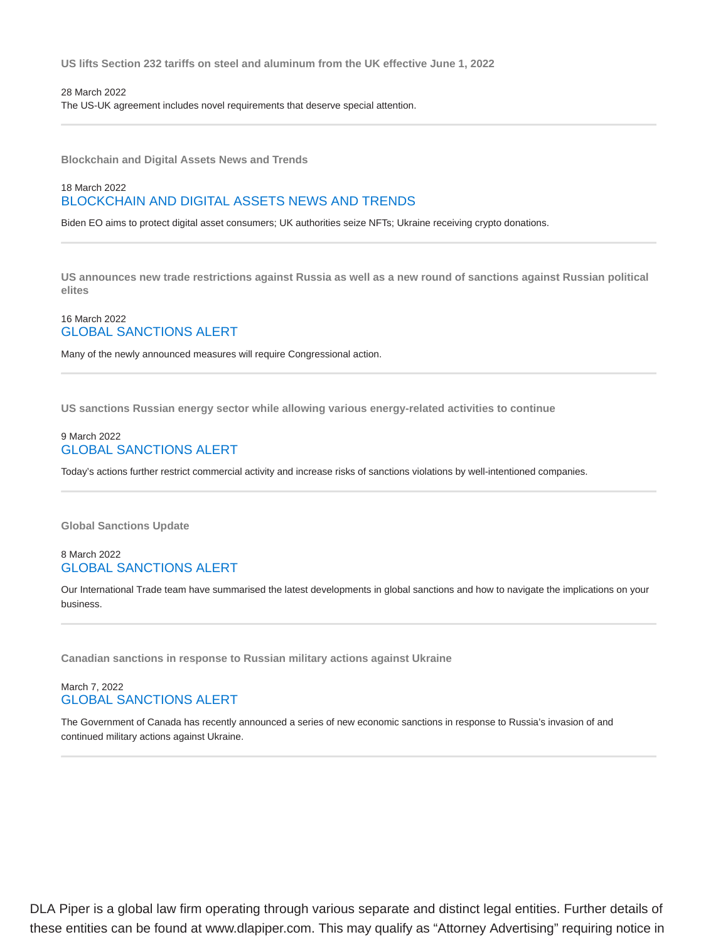**US lifts Section 232 tariffs on steel and aluminum from the UK effective June 1, 2022**

28 March 2022 The US-UK agreement includes novel requirements that deserve special attention.

**Blockchain and Digital Assets News and Trends**

## 18 March 2022 BLOCKCHAIN AND DIGITAL ASSETS NEWS AND TRENDS

Biden EO aims to protect digital asset consumers; UK authorities seize NFTs; Ukraine receiving crypto donations.

**US announces new trade restrictions against Russia as well as a new round of sanctions against Russian political elites**

#### 16 March 2022 GLOBAL SANCTIONS ALERT

Many of the newly announced measures will require Congressional action.

**US sanctions Russian energy sector while allowing various energy-related activities to continue**

#### 9 March 2022 GLOBAL SANCTIONS ALERT

Today's actions further restrict commercial activity and increase risks of sanctions violations by well-intentioned companies.

**Global Sanctions Update**

#### 8 March 2022 GLOBAL SANCTIONS ALERT

Our International Trade team have summarised the latest developments in global sanctions and how to navigate the implications on your business.

**Canadian sanctions in response to Russian military actions against Ukraine**

## March 7, 2022 GLOBAL SANCTIONS ALERT

The Government of Canada has recently announced a series of new economic sanctions in response to Russia's invasion of and continued military actions against Ukraine.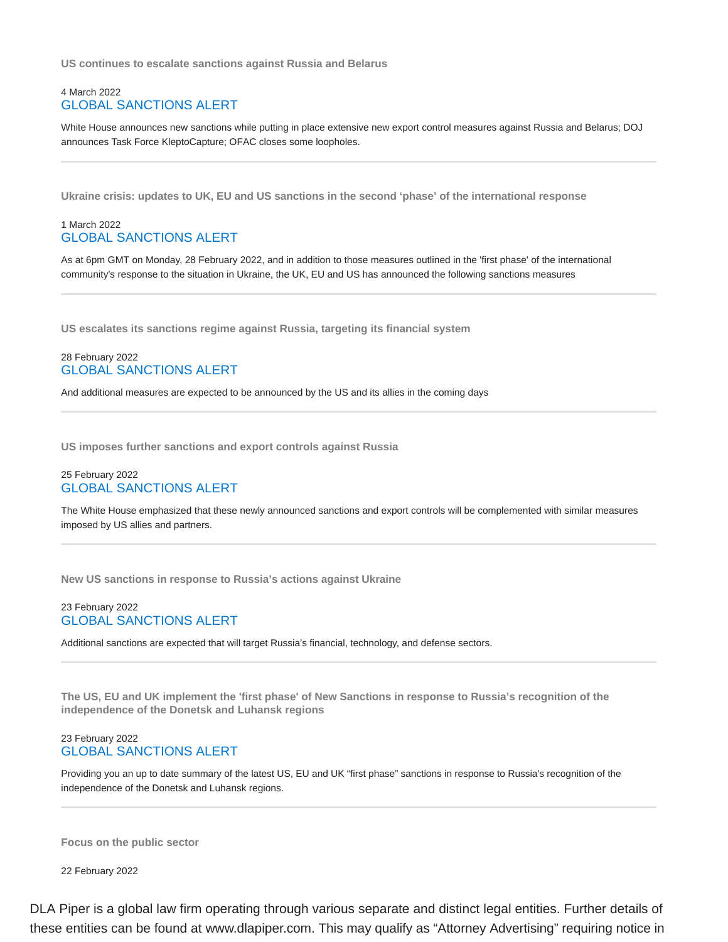**US continues to escalate sanctions against Russia and Belarus**

#### 4 March 2022 GLOBAL SANCTIONS ALERT

White House announces new sanctions while putting in place extensive new export control measures against Russia and Belarus; DOJ announces Task Force KleptoCapture; OFAC closes some loopholes.

**Ukraine crisis: updates to UK, EU and US sanctions in the second 'phase' of the international response**

## 1 March 2022 GLOBAL SANCTIONS ALERT

As at 6pm GMT on Monday, 28 February 2022, and in addition to those measures outlined in the 'first phase' of the international community's response to the situation in Ukraine, the UK, EU and US has announced the following sanctions measures

**US escalates its sanctions regime against Russia, targeting its financial system**

## 28 February 2022 GLOBAL SANCTIONS ALERT

And additional measures are expected to be announced by the US and its allies in the coming days

**US imposes further sanctions and export controls against Russia**

## 25 February 2022 GLOBAL SANCTIONS ALERT

The White House emphasized that these newly announced sanctions and export controls will be complemented with similar measures imposed by US allies and partners.

**New US sanctions in response to Russia's actions against Ukraine**

#### 23 February 2022 GLOBAL SANCTIONS ALERT

Additional sanctions are expected that will target Russia's financial, technology, and defense sectors.

**The US, EU and UK implement the 'first phase' of New Sanctions in response to Russia's recognition of the independence of the Donetsk and Luhansk regions**

#### 23 February 2022 GLOBAL SANCTIONS ALERT

Providing you an up to date summary of the latest US, EU and UK "first phase" sanctions in response to Russia's recognition of the independence of the Donetsk and Luhansk regions.

**Focus on the public sector**

22 February 2022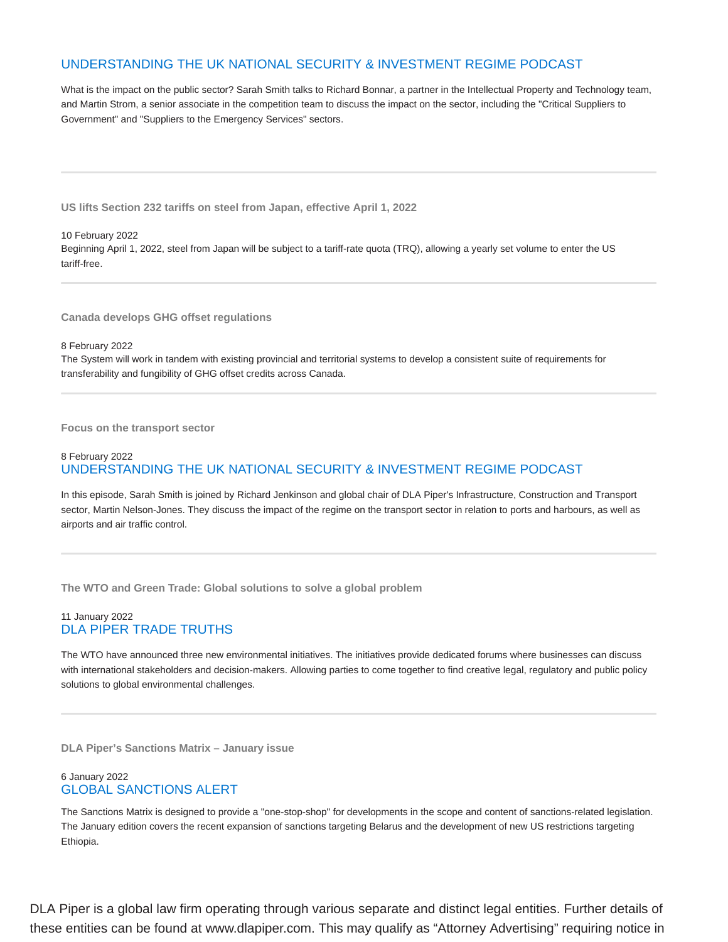# UNDERSTANDING THE UK NATIONAL SECURITY & INVESTMENT REGIME PODCAST

What is the impact on the public sector? Sarah Smith talks to Richard Bonnar, a partner in the Intellectual Property and Technology team, and Martin Strom, a senior associate in the competition team to discuss the impact on the sector, including the "Critical Suppliers to Government" and "Suppliers to the Emergency Services" sectors.

**US lifts Section 232 tariffs on steel from Japan, effective April 1, 2022**

## 10 February 2022 Beginning April 1, 2022, steel from Japan will be subject to a tariff-rate quota (TRQ), allowing a yearly set volume to enter the US tariff-free.

**Canada develops GHG offset regulations**

8 February 2022

The System will work in tandem with existing provincial and territorial systems to develop a consistent suite of requirements for transferability and fungibility of GHG offset credits across Canada.

**Focus on the transport sector**

#### 8 February 2022 UNDERSTANDING THE UK NATIONAL SECURITY & INVESTMENT REGIME PODCAST

In this episode, Sarah Smith is joined by Richard Jenkinson and global chair of DLA Piper's Infrastructure, Construction and Transport sector, Martin Nelson-Jones. They discuss the impact of the regime on the transport sector in relation to ports and harbours, as well as airports and air traffic control.

**The WTO and Green Trade: Global solutions to solve a global problem**

## 11 January 2022 DLA PIPER TRADE TRUTHS

The WTO have announced three new environmental initiatives. The initiatives provide dedicated forums where businesses can discuss with international stakeholders and decision-makers. Allowing parties to come together to find creative legal, regulatory and public policy solutions to global environmental challenges.

**DLA Piper's Sanctions Matrix – January issue**

## 6 January 2022 GLOBAL SANCTIONS ALERT

The Sanctions Matrix is designed to provide a "one-stop-shop" for developments in the scope and content of sanctions-related legislation. The January edition covers the recent expansion of sanctions targeting Belarus and the development of new US restrictions targeting Ethiopia.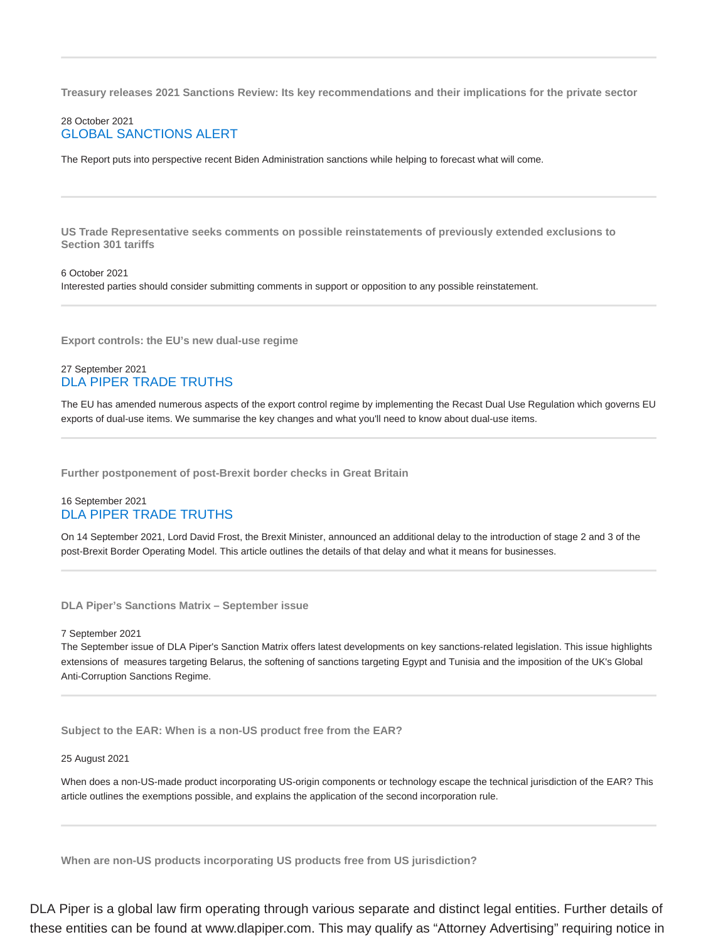**Treasury releases 2021 Sanctions Review: Its key recommendations and their implications for the private sector**

## 28 October 2021 GLOBAL SANCTIONS ALERT

The Report puts into perspective recent Biden Administration sanctions while helping to forecast what will come.

**US Trade Representative seeks comments on possible reinstatements of previously extended exclusions to Section 301 tariffs**

#### 6 October 2021

Interested parties should consider submitting comments in support or opposition to any possible reinstatement.

**Export controls: the EU's new dual-use regime**

#### 27 September 2021 DLA PIPER TRADE TRUTHS

The EU has amended numerous aspects of the export control regime by implementing the Recast Dual Use Regulation which governs EU exports of dual-use items. We summarise the key changes and what you'll need to know about dual-use items.

**Further postponement of post-Brexit border checks in Great Britain**

#### 16 September 2021 DLA PIPER TRADE TRUTHS

On 14 September 2021, Lord David Frost, the Brexit Minister, announced an additional delay to the introduction of stage 2 and 3 of the post-Brexit Border Operating Model. This article outlines the details of that delay and what it means for businesses.

**DLA Piper's Sanctions Matrix – September issue**

#### 7 September 2021

The September issue of DLA Piper's Sanction Matrix offers latest developments on key sanctions-related legislation. This issue highlights extensions of measures targeting Belarus, the softening of sanctions targeting Egypt and Tunisia and the imposition of the UK's Global Anti-Corruption Sanctions Regime.

**Subject to the EAR: When is a non-US product free from the EAR?**

#### 25 August 2021

When does a non-US-made product incorporating US-origin components or technology escape the technical jurisdiction of the EAR? This article outlines the exemptions possible, and explains the application of the second incorporation rule.

**When are non-US products incorporating US products free from US jurisdiction?**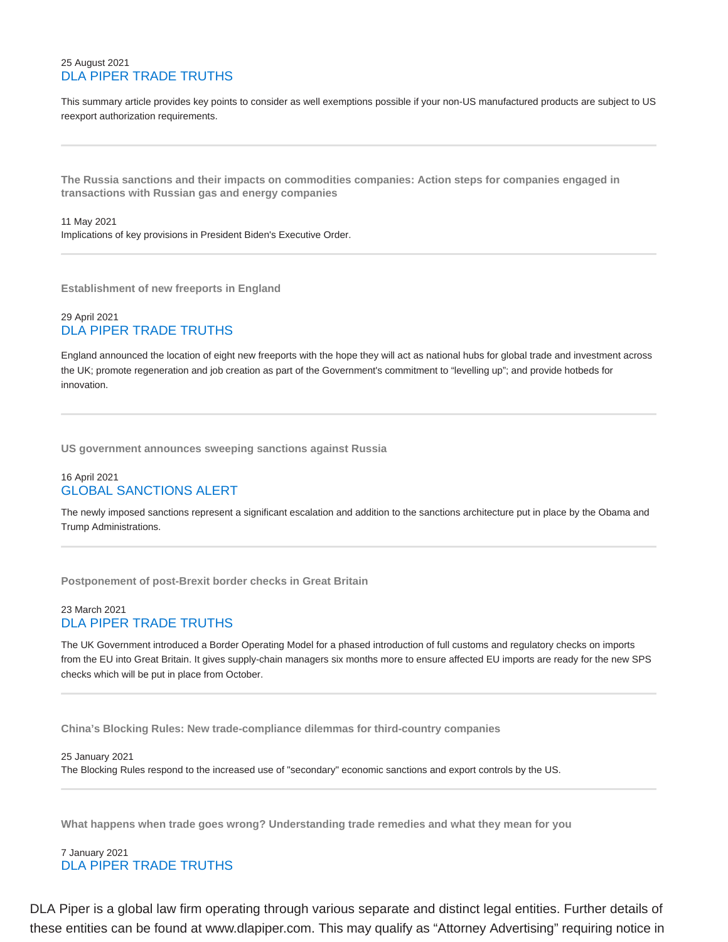## 25 August 2021 DLA PIPER TRADE TRUTHS

This summary article provides key points to consider as well exemptions possible if your non-US manufactured products are subject to US reexport authorization requirements.

**The Russia sanctions and their impacts on commodities companies: Action steps for companies engaged in transactions with Russian gas and energy companies**

#### 11 May 2021 Implications of key provisions in President Biden's Executive Order.

**Establishment of new freeports in England**

## 29 April 2021 DLA PIPER TRADE TRUTHS

England announced the location of eight new freeports with the hope they will act as national hubs for global trade and investment across the UK; promote regeneration and job creation as part of the Government's commitment to "levelling up"; and provide hotbeds for innovation.

**US government announces sweeping sanctions against Russia**

## 16 April 2021 GLOBAL SANCTIONS ALERT

The newly imposed sanctions represent a significant escalation and addition to the sanctions architecture put in place by the Obama and Trump Administrations.

**Postponement of post-Brexit border checks in Great Britain**

#### 23 March 2021 DLA PIPER TRADE TRUTHS

The UK Government introduced a Border Operating Model for a phased introduction of full customs and regulatory checks on imports from the EU into Great Britain. It gives supply-chain managers six months more to ensure affected EU imports are ready for the new SPS checks which will be put in place from October.

**China's Blocking Rules: New trade-compliance dilemmas for third-country companies**

25 January 2021 The Blocking Rules respond to the increased use of "secondary" economic sanctions and export controls by the US.

**What happens when trade goes wrong? Understanding trade remedies and what they mean for you**

7 January 2021 DLA PIPER TRADE TRUTHS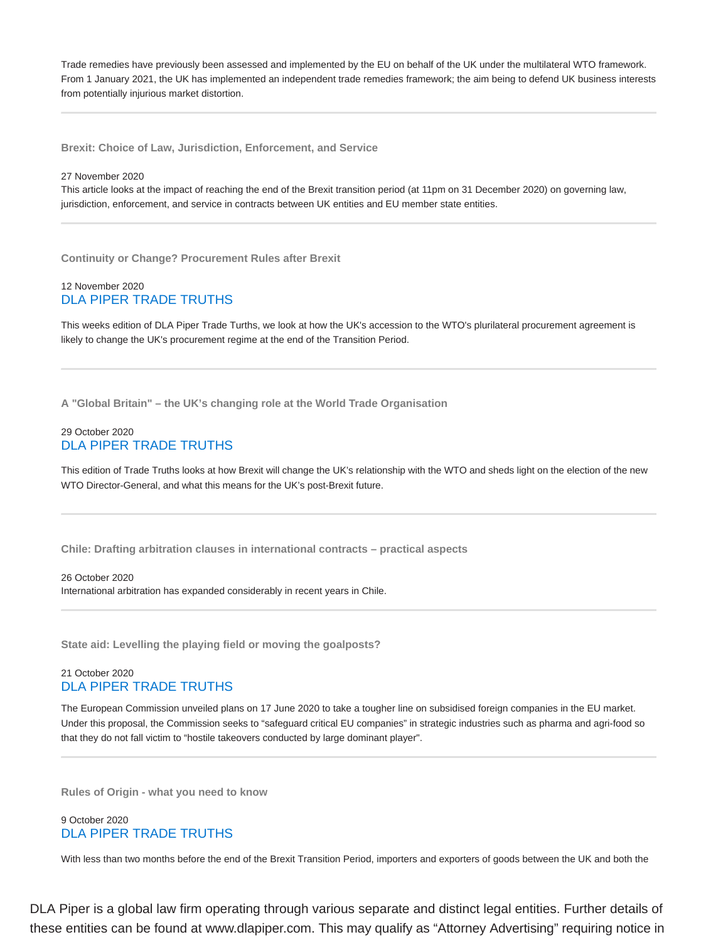Trade remedies have previously been assessed and implemented by the EU on behalf of the UK under the multilateral WTO framework. From 1 January 2021, the UK has implemented an independent trade remedies framework; the aim being to defend UK business interests from potentially injurious market distortion.

**Brexit: Choice of Law, Jurisdiction, Enforcement, and Service**

#### 27 November 2020

This article looks at the impact of reaching the end of the Brexit transition period (at 11pm on 31 December 2020) on governing law, jurisdiction, enforcement, and service in contracts between UK entities and EU member state entities.

**Continuity or Change? Procurement Rules after Brexit**

#### 12 November 2020 DLA PIPER TRADE TRUTHS

This weeks edition of DLA Piper Trade Turths, we look at how the UK's accession to the WTO's plurilateral procurement agreement is likely to change the UK's procurement regime at the end of the Transition Period.

**A "Global Britain" – the UK's changing role at the World Trade Organisation**

#### 29 October 2020 DLA PIPER TRADE TRUTHS

This edition of Trade Truths looks at how Brexit will change the UK's relationship with the WTO and sheds light on the election of the new WTO Director-General, and what this means for the UK's post-Brexit future.

**Chile: Drafting arbitration clauses in international contracts – practical aspects**

#### 26 October 2020 International arbitration has expanded considerably in recent years in Chile.

**State aid: Levelling the playing field or moving the goalposts?**

## 21 October 2020 DLA PIPER TRADE TRUTHS

The European Commission unveiled plans on 17 June 2020 to take a tougher line on subsidised foreign companies in the EU market. Under this proposal, the Commission seeks to "safeguard critical EU companies" in strategic industries such as pharma and agri-food so that they do not fall victim to "hostile takeovers conducted by large dominant player".

**Rules of Origin - what you need to know**

#### 9 October 2020 DLA PIPER TRADE TRUTHS

With less than two months before the end of the Brexit Transition Period, importers and exporters of goods between the UK and both the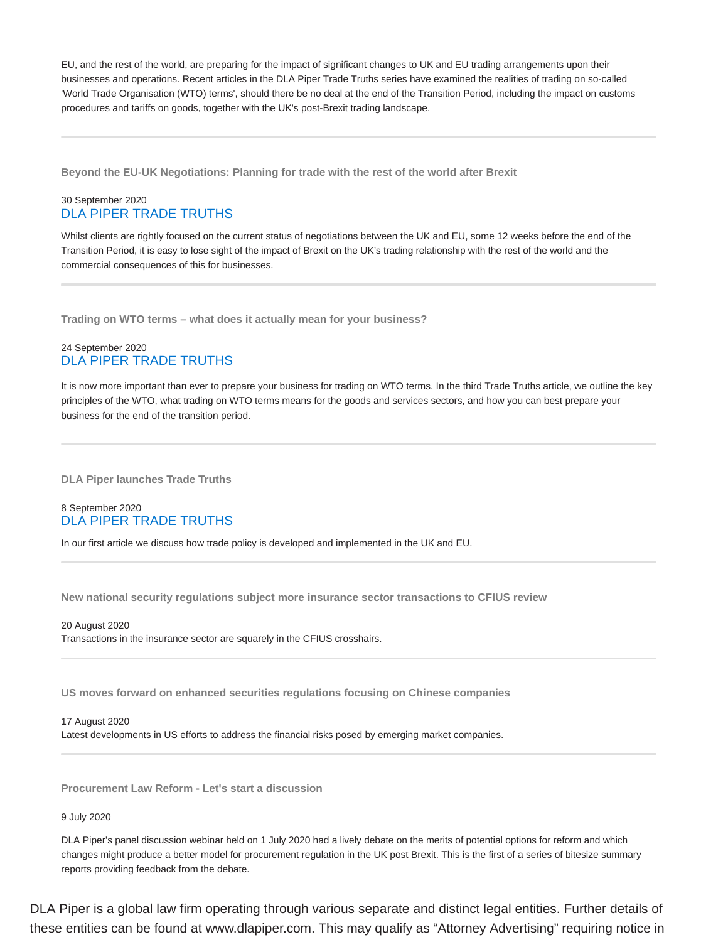EU, and the rest of the world, are preparing for the impact of significant changes to UK and EU trading arrangements upon their businesses and operations. Recent articles in the DLA Piper Trade Truths series have examined the realities of trading on so-called 'World Trade Organisation (WTO) terms', should there be no deal at the end of the Transition Period, including the impact on customs procedures and tariffs on goods, together with the UK's post-Brexit trading landscape.

**Beyond the EU-UK Negotiations: Planning for trade with the rest of the world after Brexit**

#### 30 September 2020 DLA PIPER TRADE TRUTHS

Whilst clients are rightly focused on the current status of negotiations between the UK and EU, some 12 weeks before the end of the Transition Period, it is easy to lose sight of the impact of Brexit on the UK's trading relationship with the rest of the world and the commercial consequences of this for businesses.

**Trading on WTO terms – what does it actually mean for your business?**

#### 24 September 2020 DLA PIPER TRADE TRUTHS

It is now more important than ever to prepare your business for trading on WTO terms. In the third Trade Truths article, we outline the key principles of the WTO, what trading on WTO terms means for the goods and services sectors, and how you can best prepare your business for the end of the transition period.

**DLA Piper launches Trade Truths**

#### 8 September 2020 DLA PIPER TRADE TRUTHS

In our first article we discuss how trade policy is developed and implemented in the UK and EU.

**New national security regulations subject more insurance sector transactions to CFIUS review**

20 August 2020 Transactions in the insurance sector are squarely in the CFIUS crosshairs.

**US moves forward on enhanced securities regulations focusing on Chinese companies**

17 August 2020 Latest developments in US efforts to address the financial risks posed by emerging market companies.

**Procurement Law Reform - Let's start a discussion**

#### 9 July 2020

DLA Piper's panel discussion webinar held on 1 July 2020 had a lively debate on the merits of potential options for reform and which changes might produce a better model for procurement regulation in the UK post Brexit. This is the first of a series of bitesize summary reports providing feedback from the debate.